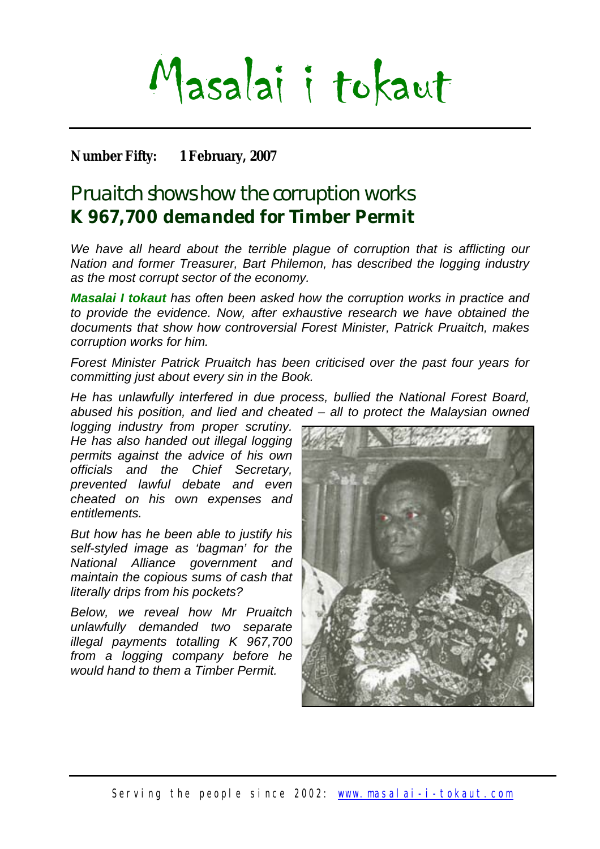# Masalai i tokaut

## **Number Fifty: 1 February, 2007**

# Pruaitch shows how the corruption works **K 967,700 demanded for Timber Permit**

*We have all heard about the terrible plague of corruption that is afflicting our Nation and former Treasurer, Bart Philemon, has described the logging industry as the most corrupt sector of the economy.* 

*Masalai I tokaut has often been asked how the corruption works in practice and to provide the evidence. Now, after exhaustive research we have obtained the documents that show how controversial Forest Minister, Patrick Pruaitch, makes corruption works for him.*

*Forest Minister Patrick Pruaitch has been criticised over the past four years for committing just about every sin in the Book.* 

*He has unlawfully interfered in due process, bullied the National Forest Board, abused his position, and lied and cheated – all to protect the Malaysian owned* 

*logging industry from proper scrutiny. He has also handed out illegal logging permits against the advice of his own officials and the Chief Secretary, prevented lawful debate and even cheated on his own expenses and entitlements.* 

*But how has he been able to justify his self-styled image as 'bagman' for the National Alliance government and maintain the copious sums of cash that literally drips from his pockets?* 

*Below, we reveal how Mr Pruaitch unlawfully demanded two separate illegal payments totalling K 967,700 from a logging company before he would hand to them a Timber Permit.* 

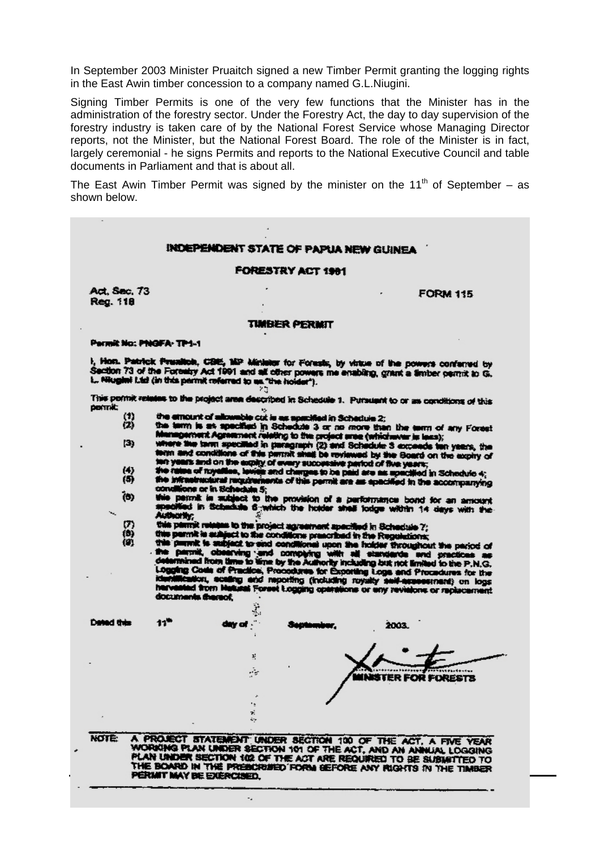In September 2003 Minister Pruaitch signed a new Timber Permit granting the logging rights in the East Awin timber concession to a company named G.L.Niugini.

Signing Timber Permits is one of the very few functions that the Minister has in the administration of the forestry sector. Under the Forestry Act, the day to day supervision of the forestry industry is taken care of by the National Forest Service whose Managing Director reports, not the Minister, but the National Forest Board. The role of the Minister is in fact, largely ceremonial - he signs Permits and reports to the National Executive Council and table documents in Parliament and that is about all.

The East Awin Timber Permit was signed by the minister on the 11<sup>th</sup> of September – as shown below.

#### INDEPENDENT STATE OF PAPUA NEW GUINEA

#### FORESTRY ACT 1991

Act, Sec, 73 Reg. 118

**FORM 115** 

#### **TIMBER PERMIT**

#### Permit No: PNGFA-TP1-1

1, Hon. Patrick Presilion, CBIS, MP Minister for Forests, by virtue of the powers conferred by<br>Section 73 of the Forestry Act 1991 and all other powers me enabling, grant a fimber permit to G.<br>1. Mugint Ltd (in this permit Σg

This pormit relates to the project area described in Schedule 1. Pursuant to or as conditions of this pomit:

- $\binom{1}{2}$ the emount of allowable cut is as apacified in Schedule 2;
- 
- the emount of astronacie cut is as appeared in acceptance 2;<br>the term is as specified in Schedule 3 or no more than the term of any Forest<br>Memopement Agreement relating to the project area (whichever is less);<br>where the te  $(3)$ while years and on the expliy of every successive particle of the years;<br>he raise of niyatiles, levies and charges to be paid are as specified in Schedule 4;<br>he infrastractural requirements of this permit are as specified
	-
- $\binom{4}{5}$ the initiatract (b)
- e museuments requirements of the provision of a performance bond for an amount<br>is parrait is subject to the provision of a performance bond for an amount<br>sedified in Schedule 6-which the holder shell lodge within 14 days w Authority;
- 
- $\begin{smallmatrix} (7) \ (8) \ (9) \end{smallmatrix}$
- shortly;<br>is plentif relates to the project agreement apecified in Schedule 7;<br>a parmit is subject to the conditions prescribed in the Regulations;<br>is parmit is subject to end conditional upon the Indder throughout the pari documents thereof. ÷.

| Dated this | 11"            | $\mathcal{L}_{\mathrm{M}}$<br>day of ." | 2003.                                                                                                                    |  |
|------------|----------------|-----------------------------------------|--------------------------------------------------------------------------------------------------------------------------|--|
|            |                |                                         |                                                                                                                          |  |
|            |                | нY                                      | <b>INSTER FOR FORESTS</b>                                                                                                |  |
|            |                | ₹.<br>$\mathcal{L}_{\mathcal{F}}$       |                                                                                                                          |  |
| NOTE:      | <b>PROJECT</b> |                                         | STATEMENT UNDER SECTION 100 OF THE ACT, A FIVE YEAR<br>WORKING PLAN UNDER SECTION 101 OF THE ACT, AND AN ANNUAL LOCATION |  |

PLAN UNDER SECTION 102 OF THE ACT ARE REQUIRED TO BE SUBJETTED TO THE BOARD IN THE PREBIDERSED FORM BEFORE ANY RIGHTS IN THE TIMBER

ų,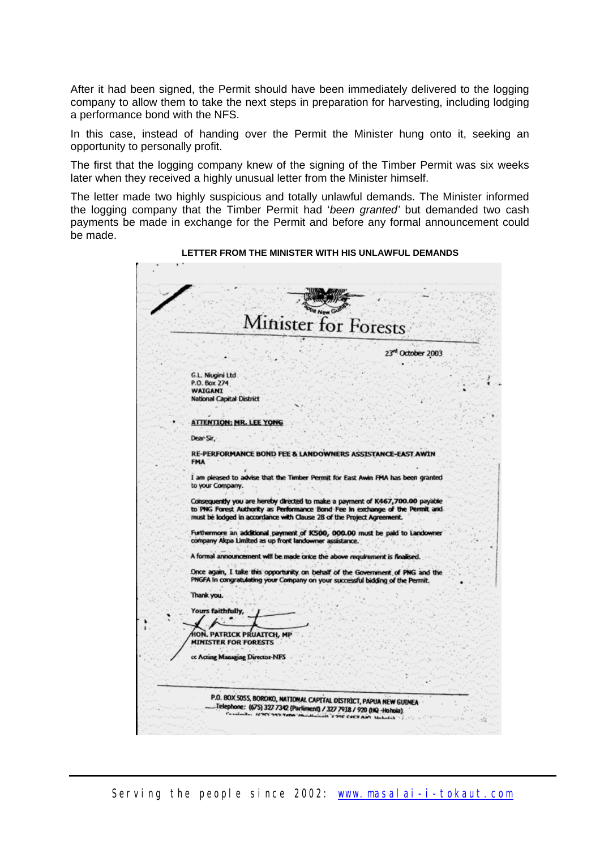After it had been signed, the Permit should have been immediately delivered to the logging company to allow them to take the next steps in preparation for harvesting, including lodging a performance bond with the NFS.

In this case, instead of handing over the Permit the Minister hung onto it, seeking an opportunity to personally profit.

The first that the logging company knew of the signing of the Timber Permit was six weeks later when they received a highly unusual letter from the Minister himself.

The letter made two highly suspicious and totally unlawful demands. The Minister informed the logging company that the Timber Permit had '*been granted'* but demanded two cash payments be made in exchange for the Permit and before any formal announcement could be made.

| Minister for Forests |                                                                                                                                                                                                                                         |  |  |  |
|----------------------|-----------------------------------------------------------------------------------------------------------------------------------------------------------------------------------------------------------------------------------------|--|--|--|
|                      | 23rd October 2003                                                                                                                                                                                                                       |  |  |  |
|                      | G.L. Niugini Ltd.                                                                                                                                                                                                                       |  |  |  |
|                      | P.O. Box 274<br>WAIGANI                                                                                                                                                                                                                 |  |  |  |
|                      | <b>National Capital District</b>                                                                                                                                                                                                        |  |  |  |
|                      |                                                                                                                                                                                                                                         |  |  |  |
|                      | <b>ATTENTION: MR. LEE YONG</b>                                                                                                                                                                                                          |  |  |  |
|                      | Dear Sir                                                                                                                                                                                                                                |  |  |  |
|                      | RE-PERFORMANCE BOND FEE & LANDOWNERS ASSISTANCE-EAST AWIN                                                                                                                                                                               |  |  |  |
|                      | <b>FMA</b>                                                                                                                                                                                                                              |  |  |  |
|                      | I am pleased to advise that the Timber Permit for East Awin FMA has been granted                                                                                                                                                        |  |  |  |
|                      | to your Company.                                                                                                                                                                                                                        |  |  |  |
|                      | Consequently you are hereby directed to make a payment of K467,700.00 payable<br>to PNG Forest Authority as Performance Bond Fee in exchange of the Permit and<br>must be lodged in accordance with Clause 28 of the Project Agreement. |  |  |  |
|                      | Furthermore an additional payment of K500, 000.00 must be paid to Landowner<br>company Akpa Limited as up front landowner assistance.                                                                                                   |  |  |  |
|                      | A formal announcement will be made once the above requirement is finalised.                                                                                                                                                             |  |  |  |
|                      | Once again, I take this opportunity on behalf of the Government of PNG and the                                                                                                                                                          |  |  |  |
|                      | PNGFA In congratulating your Company on your successful bidding of the Permit.                                                                                                                                                          |  |  |  |
|                      | Thank you.                                                                                                                                                                                                                              |  |  |  |
|                      |                                                                                                                                                                                                                                         |  |  |  |
|                      | Yours faithfully,                                                                                                                                                                                                                       |  |  |  |
|                      |                                                                                                                                                                                                                                         |  |  |  |
|                      | ION. PATRICK PRUAITCH, MP<br><b>MINISTER FOR FORESTS</b>                                                                                                                                                                                |  |  |  |
|                      | cc Acting Managing Director-NFS                                                                                                                                                                                                         |  |  |  |
|                      |                                                                                                                                                                                                                                         |  |  |  |
|                      |                                                                                                                                                                                                                                         |  |  |  |

**LETTER FROM THE MINISTER WITH HIS UNLAWFUL DEMANDS**